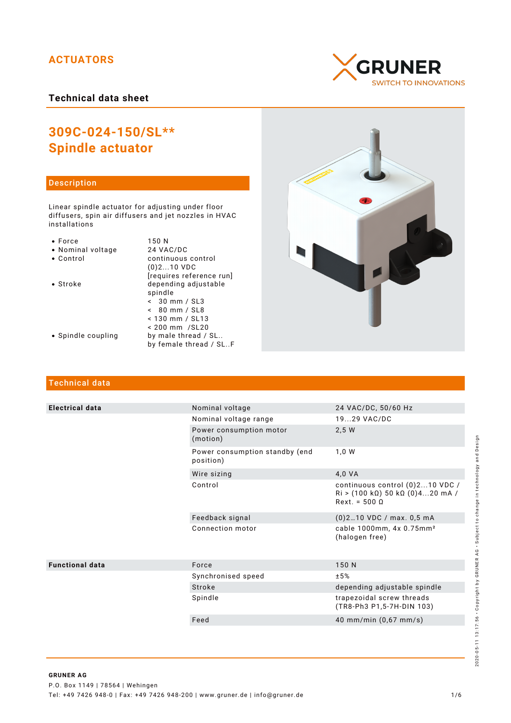# **ACTUATORS**

**Technical data sheet**

# **GRUNER SWITCH TO INNOVATIONS**

# **309C-024-150/SL\*\* Spindle actuator**

# Description

Linear spindle actuator for adjusting under floor diffusers, spin air diffusers and jet nozzles in HVAC installations

| Ωr<br>c |
|---------|

- 
- Nominal voltage<br>• Control
- 
- 

150 N<br>24 VAC/DC continuous control (0)2...10 VDC [requires reference run] • Stroke depending adjustable spindle < 30 mm / SL3 < 80 mm / SL8 < 130 mm / SL13 < 200 mm /SL20 • Spindle coupling by male thread / SL.. by female thread / SL..F



# Technical data

| <b>Electrical data</b> | Nominal voltage                             | 24 VAC/DC, 50/60 Hz                                                                          |
|------------------------|---------------------------------------------|----------------------------------------------------------------------------------------------|
|                        | Nominal voltage range                       | 1929 VAC/DC                                                                                  |
|                        | Power consumption motor<br>(motion)         | 2,5 W                                                                                        |
|                        | Power consumption standby (end<br>position) | 1,0 W                                                                                        |
|                        | Wire sizing                                 | 4,0 VA                                                                                       |
|                        | Control                                     | continuous control (0)210 VDC /<br>$Ri$ > (100 kΩ) 50 kΩ (0)420 mA /<br>$Next. = 500 \Omega$ |
|                        | Feedback signal                             | (0)210 VDC / max. 0,5 mA                                                                     |
|                        | Connection motor                            | cable 1000mm, 4x 0.75mm <sup>2</sup><br>(halogen free)                                       |
| <b>Functional data</b> | Force                                       | 150 N                                                                                        |
|                        | Synchronised speed                          | ±5%                                                                                          |
|                        | Stroke                                      | depending adjustable spindle                                                                 |
|                        | Spindle                                     | trapezoidal screw threads<br>(TR8-Ph3 P1,5-7H-DIN 103)                                       |
|                        | Feed                                        | 40 mm/min (0,67 mm/s)                                                                        |
|                        |                                             |                                                                                              |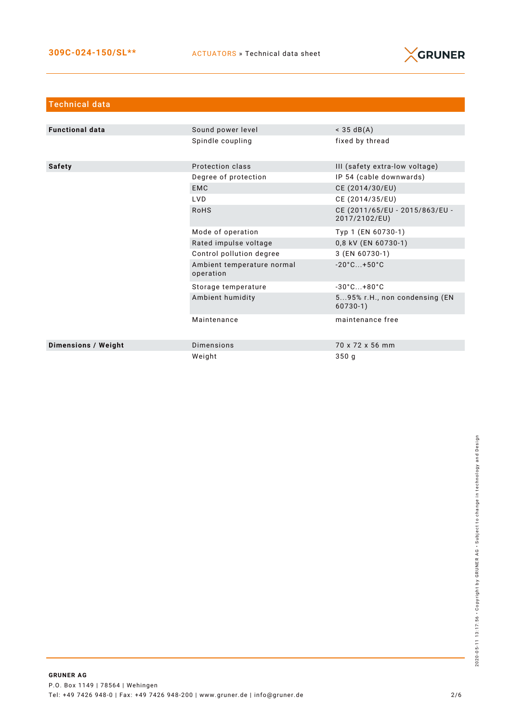

| <b>Technical data</b>      |                                         |                                                 |
|----------------------------|-----------------------------------------|-------------------------------------------------|
|                            |                                         |                                                 |
| <b>Functional data</b>     | Sound power level                       | $<$ 35 dB(A)                                    |
|                            | Spindle coupling                        | fixed by thread                                 |
| <b>Safety</b>              | Protection class                        | III (safety extra-low voltage)                  |
|                            | Degree of protection                    | IP 54 (cable downwards)                         |
|                            | <b>EMC</b>                              | CE (2014/30/EU)                                 |
|                            | LVD.                                    | CE (2014/35/EU)                                 |
|                            | <b>RoHS</b>                             | CE (2011/65/EU - 2015/863/EU -<br>2017/2102/EU) |
|                            | Mode of operation                       | Typ 1 (EN 60730-1)                              |
|                            | Rated impulse voltage                   | 0,8 kV (EN 60730-1)                             |
|                            | Control pollution degree                | 3 (EN 60730-1)                                  |
|                            | Ambient temperature normal<br>operation | $-20^{\circ}$ C +50 $^{\circ}$ C                |
|                            | Storage temperature                     | $-30^{\circ}$ C +80 $^{\circ}$ C                |
|                            | Ambient humidity                        | 595% r.H., non condensing (EN<br>$60730-1)$     |
|                            | Maintenance                             | maintenance free                                |
| <b>Dimensions / Weight</b> | <b>Dimensions</b>                       | 70 x 72 x 56 mm                                 |
|                            | Weight                                  | 350q                                            |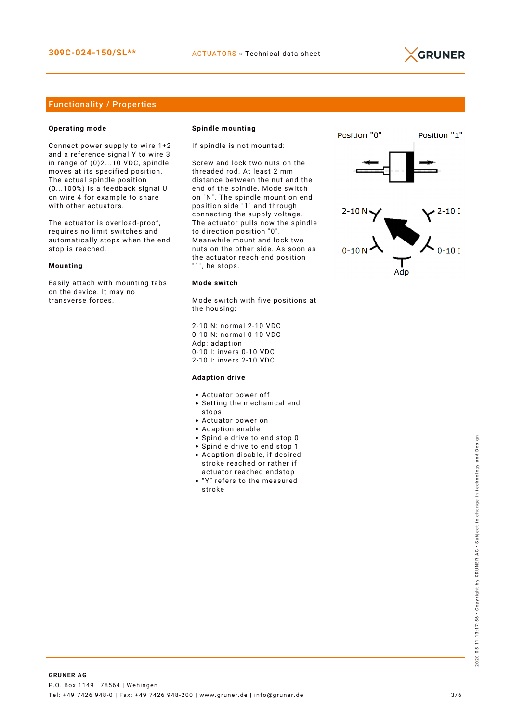

## Functionality / Properties

### **Operating mode**

Connect power supply to wire 1+2 and a reference signal Y to wire 3 in range of (0)2...10 VDC, spindle moves at its specified position. The actual spindle position (0...100%) is a feedback signal U on wire 4 for example to share with other actuators.

The actuator is overload-proof, requires no limit switches and automatically stops when the end stop is reached.

#### **Mounting**

Easily attach with mounting tabs on the device. It may no transverse forces.

#### **Spindle mounting**

If spindle is not mounted:

Screw and lock two nuts on the threaded rod. At least 2 mm distance between the nut and the end of the spindle. Mode switch on "N". The spindle mount on end position side "1" and through connecting the supply voltage. The actuator pulls now the spindle to direction position "0". Meanwhile mount and lock two nuts on the other side. As soon as the actuator reach end position "1", he stops.

#### **Mode switch**

Mode switch with five positions at the housing:

2-10 N: normal 2-10 VDC 0-10 N: normal 0-10 VDC Adp: adaption 0-10 I: invers 0-10 VDC 2-10 I: invers 2-10 VDC

#### **Adaption drive**

- Actuator power off
- Setting the mechanical end stops
- Actuator power on
- Adaption enable
- Spindle drive to end stop 0
- Spindle drive to end stop 1
- Adaption disable, if desired stroke reached or rather if actuator reached endstop
- "Y" refers to the measured stroke

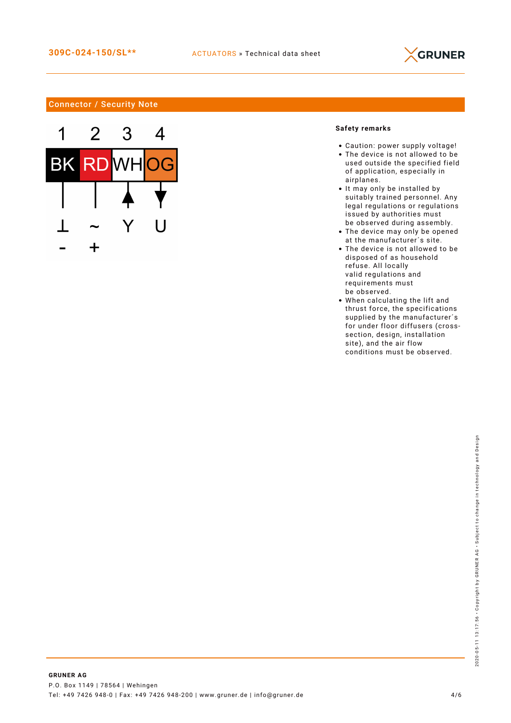

## Connector / Security Note



## **Safety remarks**

- Caution: power supply voltage!
- The device is not allowed to be used outside the specified field of application, especially in airplanes.
- It may only be installed by suitably trained personnel. Any legal regulations or regulations issued by authorities must be observed during assembly.
- The device may only be opened at the manufacturer´s site.
- The device is not allowed to be disposed of as household refuse. All locally valid regulations and requirements must be observed.
- When calculating the lift and thrust force, the specifications supplied by the manufacturer´s for under floor diffusers (crosssection, design, installation site), and the air flow conditions must be observed.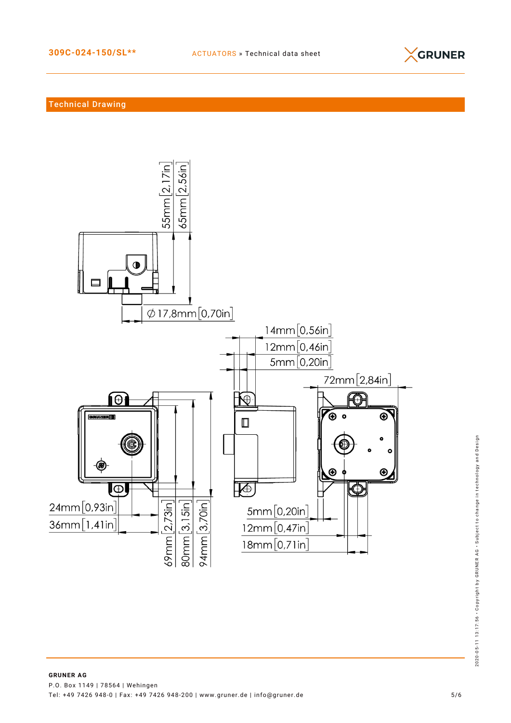

## Technical Drawing